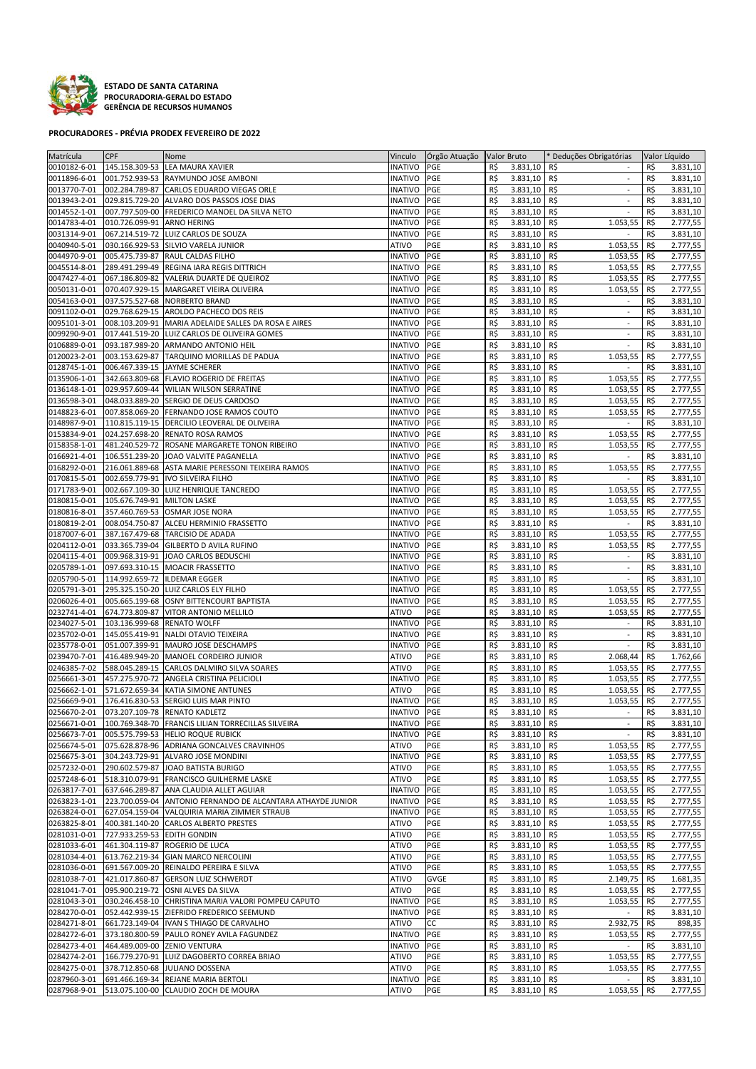

**ESTADO DE SANTA CATARINA PROCURADORIA‐GERAL DO ESTADO GERÊNCIA DE RECURSOS HUMANOS**

## **PROCURADORES ‐ PRÉVIA PRODEX FEVEREIRO DE 2022**

| Matrícula    | <b>CPF</b>                   | Nome                                                            | Vinculo        | Orgão Atuação   Valor Bruto |     |              | * Deduções Obrigatórias         |     | Valor Líquido |
|--------------|------------------------------|-----------------------------------------------------------------|----------------|-----------------------------|-----|--------------|---------------------------------|-----|---------------|
| 0010182-6-01 |                              | 145.158.309-53 LEA MAURA XAVIER                                 | <b>INATIVO</b> | PGE                         | R\$ | 3.831,10     | R\$                             | R\$ | 3.831,10      |
| 0011896-6-01 |                              | 001.752.939-53 RAYMUNDO JOSE AMBONI                             | <b>INATIVO</b> | PGE                         | R\$ | 3.831,10     | R\$                             | R\$ | 3.831,10      |
|              |                              |                                                                 |                |                             |     |              |                                 |     |               |
| 0013770-7-01 |                              | 002.284.789-87 CARLOS EDUARDO VIEGAS ORLE                       | <b>INATIVO</b> | PGE                         | R\$ | 3.831,10     | R\$<br>$\mathbb{Z}^2$           | R\$ | 3.831,10      |
| 0013943-2-01 |                              | 029.815.729-20 ALVARO DOS PASSOS JOSE DIAS                      | <b>INATIVO</b> | PGE                         | R\$ | 3.831,10     | R\$<br>$\sim$                   | R\$ | 3.831,10      |
| 0014552-1-01 | 007.797.509-00               | FREDERICO MANOEL DA SILVA NETO                                  | <b>INATIVO</b> | PGE                         | R\$ | 3.831,10     | R\$<br>$\sim$                   | R\$ | 3.831,10      |
| 0014783-4-01 | 010.726.099-91               | <b>ARNO HERING</b>                                              | INATIVO        | PGE                         | R\$ | 3.831,10     | R\$<br>1.053,55                 | R\$ | 2.777,55      |
|              |                              |                                                                 |                |                             |     |              |                                 |     |               |
| 0031314-9-01 | 067.214.519-72               | LUIZ CARLOS DE SOUZA                                            | INATIVO        | PGE                         | R\$ | 3.831,10     | R\$                             | R\$ | 3.831,10      |
| 0040940-5-01 | 030.166.929-53               | SILVIO VARELA JUNIOR                                            | ATIVO          | PGE                         | R\$ | 3.831,10     | R\$<br>1.053,55                 | R\$ | 2.777,55      |
| 0044970-9-01 |                              | 005.475.739-87 RAUL CALDAS FILHO                                | <b>INATIVO</b> | PGE                         | R\$ | 3.831,10     | R\$<br>1.053,55                 | R\$ | 2.777,55      |
| 0045514-8-01 |                              | 289.491.299-49 REGINA IARA REGIS DITTRICH                       |                | PGE                         | R\$ | 3.831,10     | R\$                             | R\$ |               |
|              |                              |                                                                 | INATIVO        |                             |     |              | 1.053,55                        |     | 2.777,55      |
| 0047427-4-01 |                              | 067.186.809-82 VALERIA DUARTE DE QUEIROZ                        | <b>INATIVO</b> | PGE                         | R\$ | 3.831,10     | R\$<br>1.053,55                 | R\$ | 2.777,55      |
| 0050131-0-01 |                              | 070.407.929-15 MARGARET VIEIRA OLIVEIRA                         | <b>INATIVO</b> | PGE                         | R\$ | 3.831,10     | R\$<br>1.053,55                 | R\$ | 2.777,55      |
| 0054163-0-01 |                              | 037.575.527-68 NORBERTO BRAND                                   | <b>INATIVO</b> | PGE                         | R\$ | 3.831,10     | R\$<br>$\blacksquare$           | R\$ | 3.831,10      |
| 0091102-0-01 |                              | 029.768.629-15 AROLDO PACHECO DOS REIS                          | <b>INATIVO</b> | PGE                         | R\$ | 3.831,10     | R\$                             | R\$ | 3.831,10      |
|              |                              |                                                                 |                |                             |     |              |                                 |     |               |
| 0095101-3-01 |                              | 008.103.209-91 MARIA ADELAIDE SALLES DA ROSA E AIRES            | <b>INATIVO</b> | PGE                         | R\$ | 3.831.10     | R\$<br>$\sim$                   | R\$ | 3.831,10      |
| 0099290-9-01 |                              | 017.441.519-20 LUIZ CARLOS DE OLIVEIRA GOMES                    | <b>INATIVO</b> | PGE                         | R\$ | 3.831,10     | R\$<br>$\blacksquare$           | R\$ | 3.831,10      |
| 0106889-0-01 | 093.187.989-20               | ARMANDO ANTONIO HEIL                                            | <b>INATIVO</b> | PGE                         | R\$ | 3.831,10     | R\$<br>$\blacksquare$           | R\$ | 3.831,10      |
| 0120023-2-01 |                              | 003.153.629-87 TARQUINO MORILLAS DE PADUA                       | <b>INATIVO</b> | PGE                         | R\$ | 3.831,10     | R\$<br>1.053,55                 | R\$ | 2.777,55      |
| 0128745-1-01 | 006.467.339-15 JAYME SCHERER |                                                                 | <b>INATIVO</b> | PGE                         | R\$ | 3.831,10     | R\$<br>$\sim$                   | R\$ |               |
|              |                              |                                                                 |                |                             |     |              |                                 |     | 3.831,10      |
| 0135906-1-01 |                              | 342.663.809-68 FLAVIO ROGERIO DE FREITAS                        | INATIVO        | PGE                         | R\$ | 3.831,10     | R\$<br>1.053,55                 | R\$ | 2.777,55      |
| 0136148-1-01 |                              | 029.957.609-44 WILIAN WILSON SERRATINE                          | INATIVO        | PGE                         | R\$ | 3.831,10     | R\$<br>1.053,55                 | R\$ | 2.777,55      |
| 0136598-3-01 |                              | 048.033.889-20 SERGIO DE DEUS CARDOSO                           | <b>INATIVO</b> | PGE                         | R\$ | 3.831,10     | R\$<br>1.053,55                 | R\$ | 2.777,55      |
| 0148823-6-01 |                              | 007.858.069-20 FERNANDO JOSE RAMOS COUTO                        | INATIVO        | PGE                         | R\$ | 3.831,10     | R\$<br>1.053,55                 | R\$ | 2.777,55      |
|              |                              |                                                                 |                |                             |     |              |                                 |     |               |
| 0148987-9-01 |                              | 110.815.119-15 DERCILIO LEOVERAL DE OLIVEIRA                    | <b>INATIVO</b> | PGE                         | R\$ | 3.831,10     | R\$<br>$\blacksquare$           | R\$ | 3.831,10      |
| 0153834-9-01 |                              | 024.257.698-20 RENATO ROSA RAMOS                                | INATIVO        | PGE                         | R\$ | 3.831,10     | R\$<br>1.053,55                 | R\$ | 2.777,55      |
| 0158358-1-01 | 481.240.529-72               | ROSANE MARGARETE TONON RIBEIRO                                  | <b>INATIVO</b> | PGE                         | R\$ | 3.831,10     | R\$<br>1.053,55                 | R\$ | 2.777,55      |
| 0166921-4-01 | 106.551.239-20               | JOAO VALVITE PAGANELLA                                          | <b>INATIVO</b> | PGE                         | R\$ | 3.831,10     | R\$                             | R\$ | 3.831,10      |
| 0168292-0-01 | 216.061.889-68               | ASTA MARIE PERESSONI TEIXEIRA RAMOS                             | <b>INATIVO</b> | PGE                         | R\$ | 3.831,10     | R\$<br>1.053,55                 | R\$ | 2.777,55      |
|              |                              |                                                                 |                |                             |     |              |                                 |     |               |
| 0170815-5-01 |                              | 002.659.779-91 IVO SILVEIRA FILHO                               | <b>INATIVO</b> | PGE                         | R\$ | 3.831,10     | R\$                             | R\$ | 3.831,10      |
| 0171783-9-01 |                              | 002.667.109-30 LUIZ HENRIQUE TANCREDO                           | <b>INATIVO</b> | PGE                         | R\$ | 3.831,10     | R\$<br>1.053,55                 | R\$ | 2.777,55      |
| 0180815-0-01 | 105.676.749-91               | <b>MILTON LASKE</b>                                             | <b>INATIVO</b> | PGE                         | R\$ | 3.831,10     | R\$<br>1.053,55                 | R\$ | 2.777,55      |
| 0180816-8-01 |                              | 357.460.769-53 OSMAR JOSE NORA                                  | INATIVO        | PGE                         | R\$ | 3.831,10     | R\$<br>1.053,55                 | R\$ | 2.777,55      |
| 0180819-2-01 | 008.054.750-87               | ALCEU HERMINIO FRASSETTO                                        | INATIVO        | PGE                         | R\$ | 3.831,10     | R\$<br>$\overline{\phantom{a}}$ | R\$ | 3.831,10      |
|              |                              |                                                                 |                |                             |     |              |                                 |     |               |
| 0187007-6-01 | 387.167.479-68               | <b>TARCISIO DE ADADA</b>                                        | <b>INATIVO</b> | PGE                         | R\$ | 3.831,10     | R\$<br>1.053,55                 | R\$ | 2.777,55      |
| 0204112-0-01 |                              | 033.365.739-04 GILBERTO D AVILA RUFINO                          | <b>INATIVO</b> | PGE                         | R\$ | 3.831,10     | R\$<br>1.053,55                 | R\$ | 2.777,55      |
| 0204115-4-01 |                              | 009.968.319-91 JOAO CARLOS BEDUSCHI                             | INATIVO        | PGE                         | R\$ | 3.831,10     | R\$<br>$\sim$                   | R\$ | 3.831,10      |
| 0205789-1-01 |                              | 097.693.310-15 MOACIR FRASSETTO                                 | <b>INATIVO</b> | PGE                         | R\$ | 3.831,10     | R\$<br>$\blacksquare$           | R\$ | 3.831,10      |
| 0205790-5-01 | 114.992.659-72 ILDEMAR EGGER |                                                                 | INATIVO        | PGE                         | R\$ | 3.831,10     | R\$                             | R\$ | 3.831,10      |
| 0205791-3-01 |                              | 295.325.150-20 LUIZ CARLOS ELY FILHO                            | <b>INATIVO</b> | PGE                         | R\$ | 3.831,10     | R\$<br>1.053,55                 | R\$ | 2.777,55      |
|              |                              |                                                                 |                |                             |     |              |                                 |     |               |
| 0206026-4-01 | 005.665.199-68               | OSNY BITTENCOURT BAPTISTA                                       | <b>INATIVO</b> | PGE                         | R\$ | 3.831,10     | R\$<br>1.053,55                 | R\$ | 2.777,55      |
| 0232741-4-01 | 674.773.809-87               | VITOR ANTONIO MELLILO                                           | ATIVO          | PGE                         | R\$ | 3.831,10     | R\$<br>1.053,55                 | R\$ | 2.777,55      |
| 0234027-5-01 | 103.136.999-68               | <b>RENATO WOLFF</b>                                             | <b>INATIVO</b> | PGE                         | R\$ | 3.831,10     | R\$<br>$\sim$                   | R\$ | 3.831,10      |
| 0235702-0-01 |                              | 145.055.419-91 NALDI OTAVIO TEIXEIRA                            | <b>INATIVO</b> | PGE                         | R\$ | 3.831,10     | R\$<br>$\mathbb{Z}^2$           | R\$ | 3.831,10      |
| 0235778-0-01 | 051.007.399-91               | MAURO JOSE DESCHAMPS                                            | <b>INATIVO</b> | PGE                         | R\$ | 3.831,10     | R\$<br>$\mathbb{Z}^2$           | R\$ | 3.831,10      |
|              |                              |                                                                 |                |                             |     |              |                                 |     |               |
| 0239470-7-01 | 416.489.949-20               | MANOEL CORDEIRO JUNIOR                                          | ATIVO          | PGE                         | R\$ | 3.831,10     | R\$<br>2.068,44                 | R\$ | 1.762,66      |
| 0246385-7-02 | 588.045.289-15               | CARLOS DALMIRO SILVA SOARES                                     | ATIVO          | PGE                         | R\$ | 3.831,10     | R\$<br>1.053,55                 | R\$ | 2.777,55      |
| 0256661-3-01 |                              | 457.275.970-72 ANGELA CRISTINA PELICIOLI                        | <b>INATIVO</b> | PGE                         | R\$ | 3.831,10     | R\$<br>1.053,55                 | R\$ | 2.777,55      |
| 0256662-1-01 |                              | 571.672.659-34 KATIA SIMONE ANTUNES                             | ATIVO          | PGE                         | R\$ | 3.831,10     | R\$<br>1.053,55                 | R\$ | 2.777,55      |
| 0256669-9-01 |                              | 176.416.830-53 SERGIO LUIS MAR PINTO                            | <b>INATIVO</b> | PGE                         | R\$ | 3.831,10     | R\$<br>1.053,55                 | R\$ | 2.777,55      |
|              |                              |                                                                 |                |                             | R\$ | 3.831,10     | $\sim$                          |     |               |
| 0256670-2-01 |                              | 073.207.109-78 RENATO KADLETZ                                   | <b>INATIVO</b> | PGE                         |     |              | R\$                             | R\$ | 3.831,10      |
|              |                              | 0256671-0-01 100.769.348-70 FRANCIS LILIAN TORRECILLAS SILVEIRA | <b>INATIVO</b> | PGE                         | R\$ | 3.831,10 R\$ |                                 | R\$ | 3.831,10      |
| 0256673-7-01 |                              | 005.575.799-53 HELIO ROQUE RUBICK                               | INATIVO        | PGE                         | R\$ | 3.831,10 R\$ | $\blacksquare$                  | R\$ | 3.831,10      |
| 0256674-5-01 | 075.628.878-96               | ADRIANA GONCALVES CRAVINHOS                                     | ATIVO          | PGE                         | R\$ | 3.831,10 R\$ | 1.053,55                        | R\$ | 2.777,55      |
| 0256675-3-01 |                              | 304.243.729-91 ALVARO JOSE MONDINI                              | <b>INATIVO</b> | PGE                         | R\$ | 3.831,10 R\$ | 1.053,55                        | R\$ | 2.777,55      |
| 0257232-0-01 | 290.602.579-87               | JOAO BATISTA BURIGO                                             | ATIVO          | PGE                         | R\$ | 3.831,10 R\$ | 1.053,55                        | R\$ | 2.777,55      |
|              |                              |                                                                 |                |                             |     |              |                                 |     |               |
| 0257248-6-01 | 518.310.079-91               | <b>FRANCISCO GUILHERME LASKE</b>                                | ATIVO          | PGE                         | R\$ | 3.831,10     | R\$<br>1.053,55                 | R\$ | 2.777,55      |
| 0263817-7-01 | 637.646.289-87               | ANA CLAUDIA ALLET AGUIAR                                        | <b>INATIVO</b> | PGE                         | R\$ | 3.831,10     | R\$<br>1.053,55                 | R\$ | 2.777,55      |
| 0263823-1-01 |                              | 223.700.059-04 ANTONIO FERNANDO DE ALCANTARA ATHAYDE JUNIOR     | INATIVO        | PGE                         | R\$ | 3.831,10     | R\$<br>1.053,55                 | R\$ | 2.777,55      |
| 0263824-0-01 |                              | 627.054.159-04 VALQUIRIA MARIA ZIMMER STRAUB                    | <b>INATIVO</b> | PGE                         | R\$ | 3.831,10 R\$ | 1.053,55                        | R\$ | 2.777,55      |
| 0263825-8-01 |                              | 400.381.140-20 CARLOS ALBERTO PRESTES                           | ATIVO          | PGE                         | R\$ | 3.831,10 R\$ | 1.053,55                        | R\$ | 2.777,55      |
| 0281031-0-01 | 727.933.259-53 EDITH GONDIN  |                                                                 | ATIVO          | PGE                         | R\$ | 3.831,10 R\$ | 1.053,55                        | R\$ | 2.777,55      |
|              |                              |                                                                 |                |                             |     |              |                                 |     |               |
| 0281033-6-01 | 461.304.119-87               | ROGERIO DE LUCA                                                 | ATIVO          | PGE                         | R\$ | 3.831,10 R\$ | 1.053,55                        | R\$ | 2.777,55      |
| 0281034-4-01 |                              | 613.762.219-34 GIAN MARCO NERCOLINI                             | ATIVO          | PGE                         | R\$ | 3.831,10     | 1.053,55<br>R\$                 | R\$ | 2.777,55      |
| 0281036-0-01 |                              | 691.567.009-20 REINALDO PEREIRA E SILVA                         | ATIVO          | PGE                         | R\$ | 3.831,10     | R\$<br>1.053,55                 | R\$ | 2.777,55      |
| 0281038-7-01 | 421.017.860-87               | <b>GERSON LUIZ SCHWERDT</b>                                     | ATIVO          | GVGE                        | R\$ | 3.831,10     | R\$<br>2.149,75                 | R\$ | 1.681,35      |
| 0281041-7-01 |                              | 095.900.219-72 OSNI ALVES DA SILVA                              | ATIVO          | PGE                         | R\$ | 3.831,10 R\$ | 1.053,55                        | R\$ | 2.777,55      |
| 0281043-3-01 |                              | 030.246.458-10 CHRISTINA MARIA VALORI POMPEU CAPUTO             | <b>INATIVO</b> | PGE                         | R\$ | 3.831,10     | R\$<br>1.053,55                 | R\$ | 2.777,55      |
|              |                              |                                                                 |                |                             |     |              |                                 |     |               |
| 0284270-0-01 | 052.442.939-15               | ZIEFRIDO FREDERICO SEEMUND                                      | INATIVO        | PGE                         | R\$ | 3.831,10     | R\$<br>$\sim$                   | R\$ | 3.831,10      |
| 0284271-8-01 | 661.723.149-04               | IVAN S THIAGO DE CARVALHO                                       | ATIVO          | CC                          | R\$ | 3.831,10     | R\$<br>2.932,75                 | R\$ | 898,35        |
| 0284272-6-01 |                              | 373.180.800-59 PAULO RONEY AVILA FAGUNDEZ                       | <b>INATIVO</b> | PGE                         | R\$ | 3.831,10     | R\$<br>1.053,55                 | R\$ | 2.777,55      |
| 0284273-4-01 | 464.489.009-00               | <b>ZENIO VENTURA</b>                                            | INATIVO        | PGE                         | R\$ | 3.831,10     | R\$<br>$\blacksquare$           | R\$ | 3.831,10      |
| 0284274-2-01 | 166.779.270-91               | LUIZ DAGOBERTO CORREA BRIAO                                     | ATIVO          | PGE                         | R\$ | 3.831,10     | R\$<br>1.053,55                 | R\$ | 2.777,55      |
| 0284275-0-01 |                              | 378.712.850-68 JULIANO DOSSENA                                  | ATIVO          | PGE                         | R\$ | 3.831,10 R\$ | 1.053,55                        | R\$ | 2.777,55      |
|              |                              |                                                                 |                |                             |     |              | $\sim$                          |     |               |
| 0287960-3-01 |                              | 691.466.169-34 REJANE MARIA BERTOLI                             | INATIVO        | PGE                         | R\$ | 3.831,10 R\$ |                                 | R\$ | 3.831,10      |
| 0287968-9-01 |                              | 513.075.100-00 CLAUDIO ZOCH DE MOURA                            | ATIVO          | PGE                         | R\$ | 3.831,10 R\$ | 1.053,55                        | R\$ | 2.777,55      |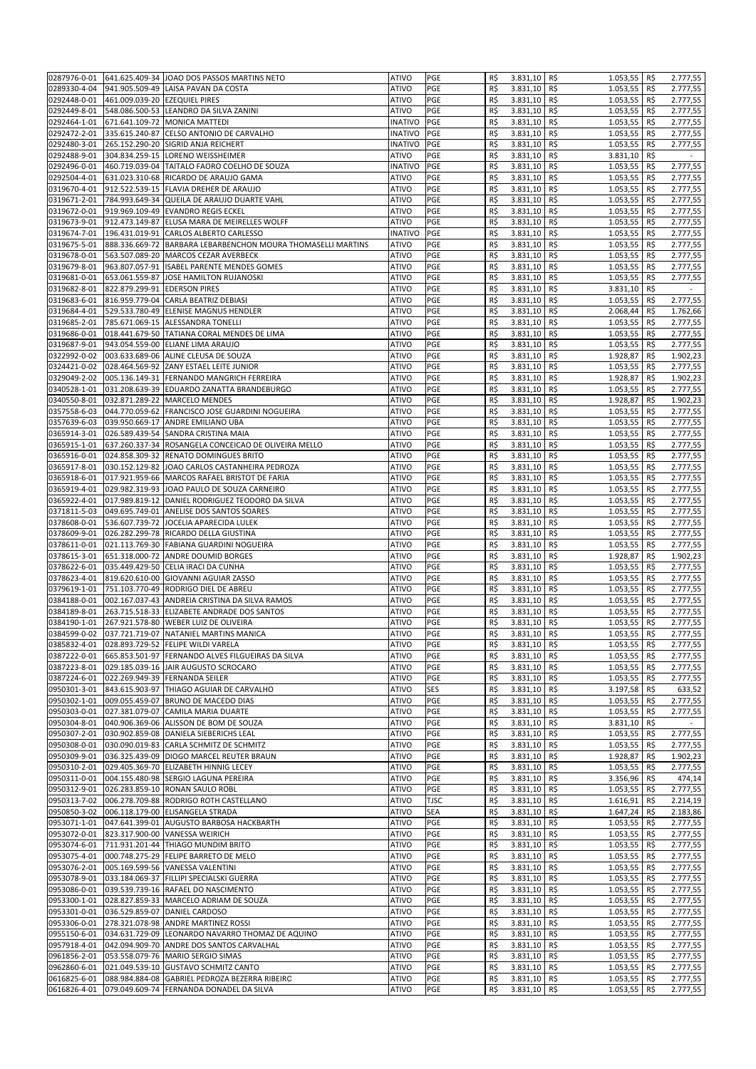| 0287976-0-01                 |                               | 641.625.409-34 JOAO DOS PASSOS MARTINS NETO                                                | <b>ATIVO</b>                 | PGE         | R\$        | 3.831,10             | R\$<br>1.053,55 R\$                    |      | 2.777,55              |
|------------------------------|-------------------------------|--------------------------------------------------------------------------------------------|------------------------------|-------------|------------|----------------------|----------------------------------------|------|-----------------------|
| 0289330-4-04                 |                               | 941.905.509-49 LAISA PAVAN DA COSTA                                                        | <b>ATIVO</b>                 | PGE         | R\$        | 3.831,10             | R\$<br>1.053,55                        | R\$  | 2.777,55              |
|                              |                               |                                                                                            |                              |             |            |                      |                                        |      |                       |
| 0292448-0-01                 | 461.009.039-20 EZEQUIEL PIRES |                                                                                            | <b>ATIVO</b>                 | PGE         | R\$        | 3.831,10             | R\$<br>1.053,55                        | R\$  | 2.777,55              |
| 0292449-8-01                 |                               | 548.086.500-53 LEANDRO DA SILVA ZANINI                                                     | <b>ATIVO</b>                 | PGE         | R\$        | 3.831,10             | R\$<br>1.053,55                        | R\$  | 2.777,55              |
| 0292464-1-01                 |                               | 671.641.109-72 MONICA MATTEDI                                                              | <b>INATIVO</b>               | PGE         | R\$        | 3.831,10             | R\$<br>1.053,55                        | R\$  | 2.777,55              |
| 0292472-2-01                 |                               | 335.615.240-87 CELSO ANTONIO DE CARVALHO                                                   | INATIVO                      | PGE         | R\$        | 3.831,10             | R\$<br>1.053,55                        | R\$  | 2.777,55              |
| 0292480-3-01                 |                               | 265.152.290-20 SIGRID ANJA REICHERT                                                        | INATIVO                      | PGE         | R\$        | 3.831,10             | R\$<br>1.053,55                        | R\$  | 2.777,55              |
| 0292488-9-01                 |                               | 304.834.259-15 LORENO WEISSHEIMER                                                          | <b>ATIVO</b>                 | PGE         | R\$        | 3.831,10             | R\$                                    | R\$  | $\sim$                |
|                              |                               |                                                                                            |                              |             |            |                      | 3.831,10                               |      |                       |
| 0292496-0-01                 |                               | 460.719.039-04 TAITALO FAORO COELHO DE SOUZA                                               | INATIVO                      | PGE         | R\$        | 3.831,10             | 1.053,55<br>R\$                        | R\$  | 2.777,55              |
| 0292504-4-01                 |                               | 631.023.310-68 RICARDO DE ARAUJO GAMA                                                      | <b>ATIVO</b>                 | PGE         | R\$        | 3.831,10             | R\$<br>1.053,55                        | R\$  | 2.777,55              |
| 0319670-4-01                 |                               | 912.522.539-15 FLAVIA DREHER DE ARAUJO                                                     | <b>ATIVO</b>                 | PGE         | R\$        | 3.831,10             | R\$<br>1.053,55                        | R\$  | 2.777,55              |
| 0319671-2-01                 |                               | 784.993.649-34 QUEILA DE ARAUJO DUARTE VAHL                                                | <b>ATIVO</b>                 | PGE         | R\$        | 3.831,10             | 1.053,55<br>R\$                        | R\$  | 2.777,55              |
| 0319672-0-01                 |                               | 919.969.109-49 EVANDRO REGIS ECKEL                                                         | <b>ATIVO</b>                 | PGE         | R\$        | 3.831,10             | R\$<br>1.053,55                        | R\$  | 2.777,55              |
|                              |                               | 912.473.149-87 ELUSA MARA DE MEIRELLES WOLFF                                               | <b>ATIVO</b>                 | PGE         | R\$        | 3.831,10             | R\$                                    |      |                       |
| 0319673-9-01                 |                               |                                                                                            |                              |             |            |                      | 1.053,55                               | R\$  | 2.777,55              |
| 0319674-7-01                 |                               | 196.431.019-91 CARLOS ALBERTO CARLESSO                                                     | <b>INATIVO</b>               | PGE         | R\$        | 3.831,10             | R\$<br>1.053,55                        | R\$  | 2.777,55              |
| 0319675-5-01                 |                               | 888.336.669-72 BARBARA LEBARBENCHON MOURA THOMASELLI MARTINS                               | <b>ATIVO</b>                 | PGE         | R\$        | 3.831,10             | R\$<br>1.053,55                        | R\$  | 2.777,55              |
| 0319678-0-01                 |                               | 563.507.089-20 MARCOS CEZAR AVERBECK                                                       | <b>ATIVO</b>                 | PGE         | R\$        | 3.831,10             | R\$<br>1.053,55                        | R\$  | 2.777,55              |
| 0319679-8-01                 |                               | 963.807.057-91 ISABEL PARENTE MENDES GOMES                                                 | <b>ATIVO</b>                 | PGE         | R\$        | 3.831,10             | R\$<br>1.053,55                        | R\$  | 2.777,55              |
| 0319681-0-01                 |                               | 653.061.559-87 JOSE HAMILTON RUJANOSKI                                                     | <b>ATIVO</b>                 | PGE         | R\$        | 3.831,10             | R\$<br>1.053,55                        | R\$  | 2.777,55              |
| 0319682-8-01                 | 822.879.299-91 EDERSON PIRES  |                                                                                            | <b>ATIVO</b>                 | PGE         | R\$        | 3.831,10             | R\$<br>3.831,10                        | R\$  | $\sim$                |
|                              |                               |                                                                                            |                              |             |            |                      |                                        |      |                       |
| 0319683-6-01                 |                               | 816.959.779-04 CARLA BEATRIZ DEBIASI                                                       | <b>ATIVO</b>                 | PGE         | R\$        | 3.831,10             | R\$<br>1.053,55                        | R\$  | 2.777,55              |
| 0319684-4-01                 |                               | 529.533.780-49 ELENISE MAGNUS HENDLER                                                      | <b>ATIVO</b>                 | PGE         | R\$        | 3.831,10             | R\$<br>2.068,44 R\$                    |      | 1.762,66              |
| 0319685-2-01                 |                               | 785.671.069-15 ALESSANDRA TONELLI                                                          | <b>ATIVO</b>                 | PGE         | R\$        | 3.831,10             | R\$<br>1.053,55                        | R\$  | 2.777,55              |
| 0319686-0-01                 |                               | 018.441.679-50 TATIANA CORAL MENDES DE LIMA                                                | <b>ATIVO</b>                 | PGE         | R\$        | 3.831,10             | R\$<br>1.053,55                        | R\$  | 2.777,55              |
| 0319687-9-01                 |                               | 943.054.559-00 ELIANE LIMA ARAUJO                                                          | <b>ATIVO</b>                 | PGE         | R\$        | 3.831,10             | R\$<br>1.053,55                        | R\$  | 2.777,55              |
| 0322992-0-02                 |                               | 003.633.689-06 ALINE CLEUSA DE SOUZA                                                       | <b>ATIVO</b>                 | PGE         | R\$        | 3.831,10             | R\$<br>1.928,87                        | R\$  | 1.902,23              |
|                              |                               |                                                                                            |                              |             |            |                      |                                        |      |                       |
| 0324421-0-02                 |                               | 028.464.569-92 ZANY ESTAEL LEITE JUNIOR                                                    | <b>ATIVO</b>                 | PGE         | R\$        | 3.831,10             | R\$<br>1.053,55                        | R\$  | 2.777,55              |
| 0329049-2-02                 |                               | 005.136.149-31 FERNANDO MANGRICH FERREIRA                                                  | <b>ATIVO</b>                 | PGE         | R\$        | 3.831,10             | R\$<br>1.928,87                        | R\$  | 1.902,23              |
| 0340528-1-01                 |                               | 031.208.639-39 EDUARDO ZANATTA BRANDEBURGO                                                 | <b>ATIVO</b>                 | PGE         | R\$        | 3.831,10             | R\$<br>1.053,55                        | R\$  | 2.777,55              |
| 0340550-8-01                 |                               | 032.871.289-22 MARCELO MENDES                                                              | <b>ATIVO</b>                 | PGE         | R\$        | 3.831,10             | R\$<br>1.928,87                        | R\$  | 1.902,23              |
| 0357558-6-03                 |                               | 044.770.059-62 FRANCISCO JOSE GUARDINI NOGUEIRA                                            | <b>ATIVO</b>                 | PGE         | R\$        | 3.831,10             | R\$<br>1.053,55                        | R\$  | 2.777,55              |
| 0357639-6-03                 |                               | 039.950.669-17 ANDRE EMILIANO UBA                                                          | <b>ATIVO</b>                 | PGE         | R\$        | 3.831,10             | R\$<br>1.053,55                        | R\$  | 2.777,55              |
|                              |                               |                                                                                            |                              |             |            |                      |                                        |      |                       |
| 0365914-3-01                 |                               | 026.589.439-54 SANDRA CRISTINA MAIA                                                        | <b>ATIVO</b>                 | PGE         | R\$        | 3.831,10             | R\$<br>1.053,55                        | R\$  | 2.777,55              |
| 0365915-1-01                 |                               | 637.260.337-34 ROSANGELA CONCEICAO DE OLIVEIRA MELLO                                       | <b>ATIVO</b>                 | PGE         | R\$        | 3.831,10             | R\$<br>1.053,55                        | R\$  | 2.777,55              |
| 0365916-0-01                 |                               | 024.858.309-32 RENATO DOMINGUES BRITO                                                      | <b>ATIVO</b>                 | PGE         | R\$        | 3.831,10             | R\$<br>1.053,55                        | R\$  | 2.777,55              |
| 0365917-8-01                 |                               | 030.152.129-82 JOAO CARLOS CASTANHEIRA PEDROZA                                             | <b>ATIVO</b>                 | PGE         | R\$        | 3.831,10             | R\$<br>1.053,55                        | R\$  | 2.777,55              |
| 0365918-6-01                 |                               | 017.921.959-66 MARCOS RAFAEL BRISTOT DE FARIA                                              | <b>ATIVO</b>                 | PGE         | R\$        | 3.831,10             | R\$<br>1.053,55                        | R\$  | 2.777,55              |
| 0365919-4-01                 |                               | 029.982.319-93 JOAO PAULO DE SOUZA CARNEIRO                                                | <b>ATIVO</b>                 | PGE         | R\$        | 3.831,10             | R\$                                    | R\$  |                       |
|                              |                               |                                                                                            |                              |             |            |                      | 1.053,55                               |      | 2.777,55              |
| 0365922-4-01                 |                               | 017.989.819-12 DANIEL RODRIGUEZ TEODORO DA SILVA                                           | <b>ATIVO</b>                 | PGE         | R\$        | 3.831,10             | R\$<br>1.053,55                        | R\$  | 2.777,55              |
| 0371811-5-03                 |                               | 049.695.749-01 ANELISE DOS SANTOS SOARES                                                   | <b>ATIVO</b>                 | PGE         | R\$        | 3.831,10             | R\$<br>1.053,55                        | R\$  | 2.777,55              |
| 0378608-0-01                 |                               | 536.607.739-72 JOCELIA APARECIDA LULEK                                                     | <b>ATIVO</b>                 | PGE         | R\$        | 3.831,10             | R\$<br>1.053,55                        | R\$  | $\overline{2.777,55}$ |
| 0378609-9-01                 |                               | 026.282.299-78 RICARDO DELLA GIUSTINA                                                      | <b>ATIVO</b>                 | PGE         | R\$        | 3.831,10             | R\$<br>1.053,55                        | R\$  | 2.777,55              |
| 0378611-0-01                 |                               | 021.113.769-30 FABIANA GUARDINI NOGUEIRA                                                   | <b>ATIVO</b>                 | PGE         | R\$        | 3.831,10             | R\$<br>1.053,55                        | R\$  | 2.777,55              |
|                              |                               |                                                                                            |                              |             |            |                      |                                        |      |                       |
| 0378615-3-01                 |                               | 651.318.000-72 ANDRE DOUMID BORGES                                                         | <b>ATIVO</b>                 | PGE         | R\$        | 3.831,10             | R\$<br>1.928,87                        | R\$  | 1.902,23              |
| 0378622-6-01                 |                               | 035.449.429-50 CELIA IRACI DA CUNHA                                                        | <b>ATIVO</b>                 | PGE         | R\$        | 3.831,10             | R\$<br>1.053,55                        | R\$  | 2.777,55              |
| 0378623-4-01                 |                               | 819.620.610-00 GIOVANNI AGUIAR ZASSO                                                       | <b>ATIVO</b>                 | PGE         | R\$        | 3.831,10             | R\$<br>1.053,55                        | R\$  | 2.777,55              |
| 0379619-1-01                 |                               | 751.103.770-49 RODRIGO DIEL DE ABREU                                                       | <b>ATIVO</b>                 | PGE         | R\$        | 3.831,10             | 1.053,55<br>R\$                        | R\$  | 2.777,55              |
| 0384188-0-01                 |                               | 002.167.037-43 ANDREIA CRISTINA DA SILVA RAMOS                                             | <b>ATIVO</b>                 | PGE         | R\$        | 3.831,10             | R\$<br>1.053,55                        | R\$  | 2.777,55              |
| 0384189-8-01                 |                               | 263.715.518-33 ELIZABETE ANDRADE DOS SANTOS                                                | <b>ATIVO</b>                 | PGE         | R\$        | 3.831,10             | R\$<br>1.053,55                        | R\$  | 2.777,55              |
|                              |                               | 267.921.578-80 WEBER LUIZ DE OLIVEIRA                                                      |                              |             |            |                      |                                        |      |                       |
| 0384190-1-01                 |                               |                                                                                            | <b>ATIVO</b>                 | PGE         | R\$        | 3.831,10             | R\$<br>1.053,55                        | R\$  | 2.777,55              |
| 0384599-0-02                 |                               | 037.721.719-07 NATANIEL MARTINS MANICA                                                     | <b>ATIVO</b>                 | PGE         | R\$        | 3.831,10             | R\$<br>1.053,55                        | R\$  | 2.777,55              |
|                              |                               | 0385832-4-01 028.893.729-52 FELIPE WILDI VARELA                                            | ATIVO                        | PGE         | R\$        | $3.831,10$ R\$       | $1.053,55$ R\$                         |      | 2.777,55              |
| 0387222-0-01                 |                               | 665.853.501-97 FERNANDO ALVES FILGUEIRAS DA SILVA                                          | <b>ATIVO</b>                 | PGE         | R\$        | 3.831,10 R\$         | 1.053,55 R\$                           |      | 2.777,55              |
| 0387223-8-01                 |                               | 029.185.039-16 JAIR AUGUSTO SCROCARO                                                       | <b>ATIVO</b>                 | PGE         | R\$        | 3.831,10             | R\$<br>1.053,55 R\$                    |      | 2.777,55              |
| 0387224-6-01                 |                               | 022.269.949-39 FERNANDA SEILER                                                             | <b>ATIVO</b>                 | PGE         | R\$        | 3.831,10             | R\$<br>1.053,55 R\$                    |      | 2.777,55              |
|                              |                               |                                                                                            |                              |             |            |                      |                                        |      |                       |
| 0950301-3-01                 |                               | 843.615.903-97 THIAGO AGUIAR DE CARVALHO                                                   | <b>ATIVO</b>                 | <b>SES</b>  | R\$        | 3.831,10             | R\$<br>3.197,58                        | R\$  | 633,52                |
| 0950302-1-01                 |                               | 009.055.459-07 BRUNO DE MACEDO DIAS                                                        | <b>ATIVO</b>                 | PGE         | R\$        | 3.831,10             | R\$<br>1.053,55 R\$                    |      | 2.777,55              |
| 0950303-0-01                 |                               | 027.381.079-07 CAMILA MARIA DUARTE                                                         | <b>ATIVO</b>                 | PGE         | R\$        | 3.831,10             | R\$<br>1.053,55                        | R\$  | 2.777,55              |
| 0950304-8-01                 |                               | 040.906.369-06 ALISSON DE BOM DE SOUZA                                                     | <b>ATIVO</b>                 | PGE         | R\$        | 3.831,10             | R\$<br>3.831,10 R\$                    |      | $\sim$                |
| 0950307-2-01                 |                               | 030.902.859-08 DANIELA SIEBERICHS LEAL                                                     | <b>ATIVO</b>                 | PGE         | R\$        | 3.831,10             | R\$<br>1.053,55 R\$                    |      | 2.777,55              |
| 0950308-0-01                 |                               | 030.090.019-83 CARLA SCHMITZ DE SCHMITZ                                                    | <b>ATIVO</b>                 | PGE         | R\$        | 3.831,10             | 1.053,55 R\$<br>R\$                    |      | 2.777,55              |
| 0950309-9-01                 |                               | 036.325.439-09 DIOGO MARCEL REUTER BRAUN                                                   | <b>ATIVO</b>                 | PGE         | R\$        | 3.831,10             |                                        |      | 1.902,23              |
|                              |                               |                                                                                            |                              |             |            |                      | 1.928,87<br>R\$                        | R\$  |                       |
| 0950310-2-01                 |                               | 029.405.369-70 ELIZABETH HINNIG LECEY                                                      | <b>ATIVO</b>                 | PGE         | R\$        | 3.831,10             | R\$<br>1.053,55                        | R\$  | 2.777,55              |
| 0950311-0-01                 |                               | 004.155.480-98 SERGIO LAGUNA PEREIRA                                                       | <b>ATIVO</b>                 | PGE         | R\$        | 3.831,10             | R\$<br>3.356,96                        | R\$  | 474,14                |
| 0950312-9-01                 |                               | 026.283.859-10 RONAN SAULO ROBL                                                            | <b>ATIVO</b>                 | PGE         | R\$        | 3.831,10             | R\$<br>1.053,55                        | R\$  | 2.777,55              |
| 0950313-7-02                 |                               | 006.278.709-88 RODRIGO ROTH CASTELLANO                                                     | <b>ATIVO</b>                 | <b>TJSC</b> | R\$        | 3.831,10             | R\$<br>1.616,91                        | R\$  | 2.214,19              |
| 0950850-3-02                 |                               | 006.118.179-00 ELISANGELA STRADA                                                           | <b>ATIVO</b>                 | <b>SEA</b>  | R\$        | 3.831,10             | R\$<br>1.647,24                        | R\$  | 2.183,86              |
|                              |                               |                                                                                            |                              |             |            |                      |                                        |      |                       |
| 0953071-1-01                 |                               | 047.641.399-01 AUGUSTO BARBOSA HACKBARTH                                                   | <b>ATIVO</b>                 | PGE         | R\$        | 3.831,10             | R\$<br>$1.053,55$ R\$                  |      | 2.777,55              |
| 0953072-0-01                 |                               | 823.317.900-00 VANESSA WEIRICH                                                             | <b>ATIVO</b>                 | PGE         | R\$        | 3.831,10             | R\$<br>1.053,55 R\$                    |      | 2.777,55              |
| 0953074-6-01                 |                               | 711.931.201-44 THIAGO MUNDIM BRITO                                                         | <b>ATIVO</b>                 | PGE         | R\$        | 3.831,10             | R\$<br>$1.053,55$ R\$                  |      | 2.777,55              |
| 0953075-4-01                 |                               | 000.748.275-29 FELIPE BARRETO DE MELO                                                      | <b>ATIVO</b>                 | PGE         | R\$        | 3.831,10             | R\$<br>1.053,55                        | R\$  | 2.777,55              |
| 0953076-2-01                 |                               | 005.169.599-56 VANESSA VALENTINI                                                           | ATIVO                        | PGE         | R\$        | 3.831,10             | R\$<br>$1.053,55$ R\$                  |      | 2.777,55              |
| 0953078-9-01                 |                               | 033.184.069-37 FILLIPI SPECIALSKI GUERRA                                                   | <b>ATIVO</b>                 | PGE         | R\$        | 3.831,10             | R\$<br>1.053,55                        | R\$  | 2.777,55              |
|                              |                               |                                                                                            |                              |             |            |                      |                                        |      |                       |
| 0953086-0-01                 |                               | 039.539.739-16 RAFAEL DO NASCIMENTO                                                        | <b>ATIVO</b>                 | PGE         | R\$        | 3.831,10             | 1.053,55<br>R\$                        | R\$  | 2.777,55              |
| 0953300-1-01                 |                               | 028.827.859-33 MARCELO ADRIAM DE SOUZA                                                     | <b>ATIVO</b>                 | PGE         | R\$        | 3.831,10             | R\$<br>1.053,55                        | R\$  | 2.777,55              |
| 0953301-0-01                 |                               | 036.529.859-07 DANIEL CARDOSO                                                              | <b>ATIVO</b>                 | PGE         | R\$        | 3.831,10             | R\$<br>1.053,55                        | IR\$ | 2.777,55              |
| 0953306-0-01                 |                               | 278.321.078-98 ANDRE MARTINEZ ROSSI                                                        | <b>ATIVO</b>                 | PGE         | R\$        | 3.831,10             | R\$<br>1.053,55                        | R\$  | 2.777,55              |
| 0955150-6-01                 |                               | 034.631.729-09 LEONARDO NAVARRO THOMAZ DE AQUINO                                           | <b>ATIVO</b>                 | PGE         | R\$        | 3.831,10             | R\$<br>1.053,55                        | R\$  | 2.777,55              |
| 0957918-4-01                 |                               | 042.094.909-70 ANDRE DOS SANTOS CARVALHAL                                                  | <b>ATIVO</b>                 | PGE         | R\$        | 3.831,10             | R\$<br>$1.053,55$ R\$                  |      | 2.777,55              |
|                              |                               |                                                                                            |                              |             |            |                      |                                        |      |                       |
|                              |                               |                                                                                            |                              |             |            |                      |                                        |      |                       |
| 0961856-2-01                 |                               | 053.558.079-76 MARIO SERGIO SIMAS                                                          | <b>ATIVO</b>                 | PGE         | R\$        | 3.831,10             | 1.053,55 R\$<br>R\$                    |      | 2.777,55              |
| 0962860-6-01                 |                               | 021.049.539-10 GUSTAVO SCHMITZ CANTO                                                       | <b>ATIVO</b>                 | PGE         | R\$        | 3.831,10             | R\$<br>$1.053,55$ R\$                  |      | 2.777,55              |
| 0616825-6-01<br>0616826-4-01 |                               | 088.984.884-08 GABRIEL PEDROZA BEZERRA RIBEIRO<br>079.049.609-74 FERNANDA DONADEL DA SILVA | <b>ATIVO</b><br><b>ATIVO</b> | PGE<br>PGE  | R\$<br>R\$ | 3.831,10<br>3.831,10 | R\$<br>1.053,55 R\$<br>R\$<br>1.053,55 | R\$  | 2.777,55<br>2.777,55  |